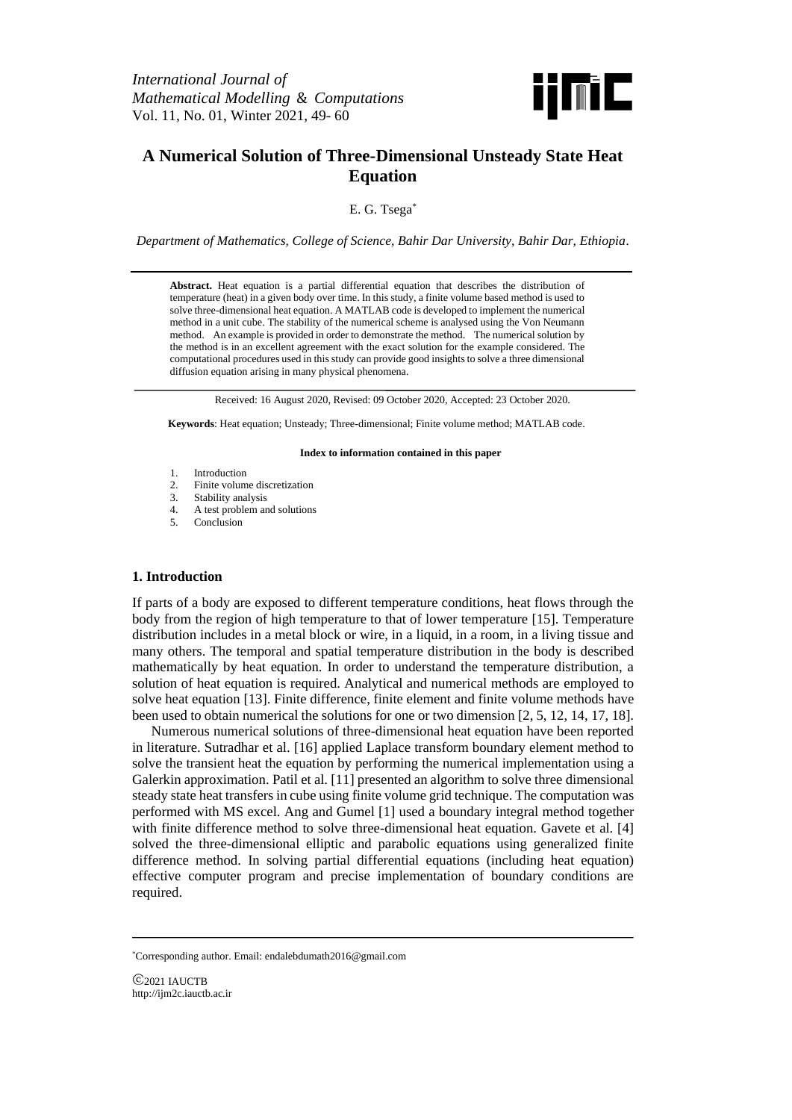

# **A Numerical Solution of Three-Dimensional Unsteady State Heat Equation**

E. G. Tsega\*

*Department of Mathematics, College of Science, Bahir Dar University, Bahir Dar, Ethiopia.*

**Abstract.** Heat equation is a partial differential equation that describes the distribution of temperature (heat) in a given body over time. In this study, a finite volume based method is used to solve three-dimensional heat equation. A MATLAB code is developed to implement the numerical method in a unit cube. The stability of the numerical scheme is analysed using the Von Neumann method. An example is provided in order to demonstrate the method. The numerical solution by the method is in an excellent agreement with the exact solution for the example considered. The computational procedures used in this study can provide good insights to solve a three dimensional diffusion equation arising in many physical phenomena.

Received: 16 August 2020, Revised: 09 October 2020, Accepted: 23 October 2020.

**Keywords**: Heat equation; Unsteady; Three-dimensional; Finite volume method; MATLAB code.

#### **Index to information contained in this paper**

- 1. Introduction<br>2. Finite volum
- Finite volume discretization
- 3. Stability analysis
- 4. A test problem and solutions<br>5. Conclusion
- Conclusion

# **1. Introduction**

If parts of a body are exposed to different temperature conditions, heat flows through the body from the region of high temperature to that of lower temperature [15]. Temperature distribution includes in a metal block or wire, in a liquid, in a room, in a living tissue and many others. The temporal and spatial temperature distribution in the body is described mathematically by heat equation. In order to understand the temperature distribution, a solution of heat equation is required. Analytical and numerical methods are employed to solve heat equation [13]. Finite difference, finite element and finite volume methods have been used to obtain numerical the solutions for one or two dimension [2, 5, 12, 14, 17, 18].

Numerous numerical solutions of three-dimensional heat equation have been reported in literature. Sutradhar et al. [16] applied Laplace transform boundary element method to solve the transient heat the equation by performing the numerical implementation using a Galerkin approximation. Patil et al. [11] presented an algorithm to solve three dimensional steady state heat transfers in cube using finite volume grid technique. The computation was performed with MS excel. Ang and Gumel [1] used a boundary integral method together with finite difference method to solve three-dimensional heat equation. Gavete et al. [4] solved the three-dimensional elliptic and parabolic equations using generalized finite difference method. In solving partial differential equations (including heat equation) effective computer program and precise implementation of boundary conditions are required.

<sup>\*</sup>Corresponding author. Email: endalebdumath2016@gmail.com

<sup>2021</sup> IAUCTB http://ijm2c.iauctb.ac.ir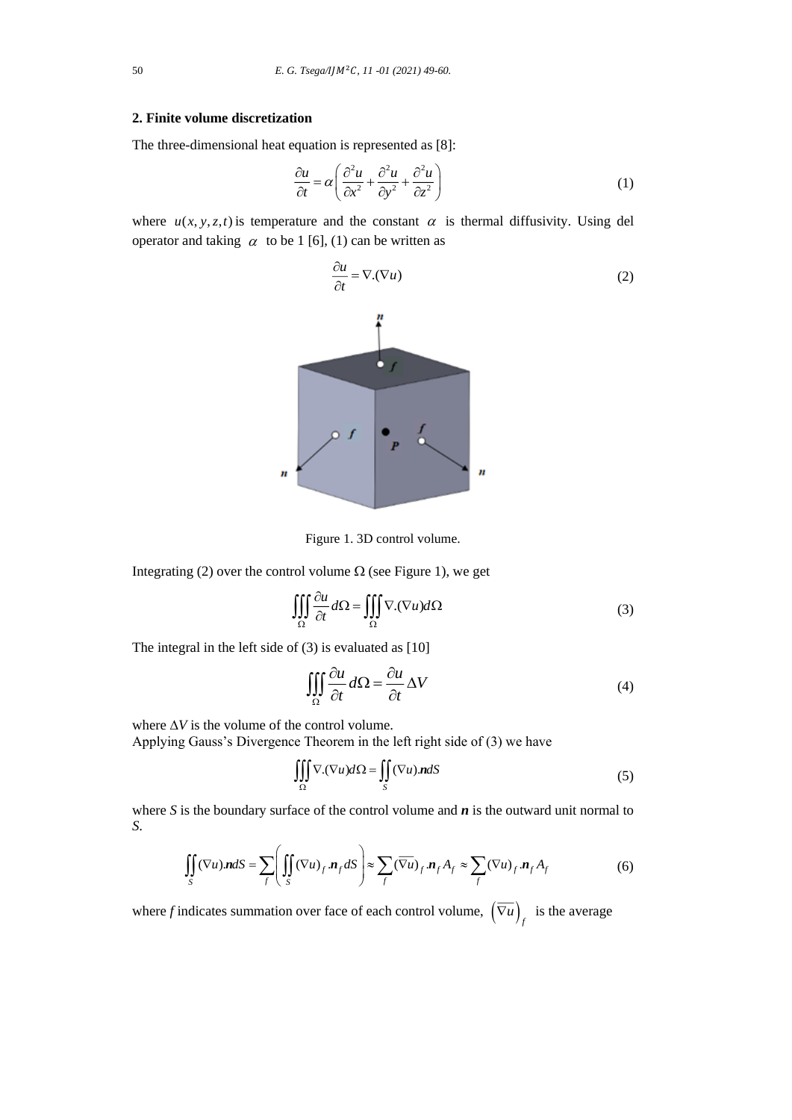# **2. Finite volume discretization**

The three-dimensional heat equation is represented as [8]:

$$
\frac{\partial u}{\partial t} = \alpha \left( \frac{\partial^2 u}{\partial x^2} + \frac{\partial^2 u}{\partial y^2} + \frac{\partial^2 u}{\partial z^2} \right)
$$
 (1)

where  $u(x, y, z, t)$  is temperature and the constant  $\alpha$  is thermal diffusivity. Using del operator and taking  $\alpha$  to be 1 [6], (1) can be written as

$$
\frac{\partial u}{\partial t} = \nabla \cdot (\nabla u) \tag{2}
$$





Integrating (2) over the control volume  $\Omega$  (see Figure 1), we get

$$
\iiint_{\Omega} \frac{\partial u}{\partial t} d\Omega = \iiint_{\Omega} \nabla \cdot (\nabla u) d\Omega
$$
\n(3)

The integral in the left side of  $(3)$  is evaluated as [10]

$$
\iiint_{\Omega} \frac{\partial u}{\partial t} d\Omega = \frac{\partial u}{\partial t} \Delta V \tag{4}
$$

where  $\Delta V$  is the volume of the control volume. Applying Gauss's Divergence Theorem in the left right side of (3) we have

$$
\iiint_{\Omega} \nabla \cdot (\nabla u) d\Omega = \iint_{S} (\nabla u) \cdot \mathbf{n} dS
$$
 (5)

where  $S$  is the boundary surface of the control volume and  $n$  is the outward unit normal to *S*.

$$
\iint_{S} (\nabla u) \mathbf{n} dS = \sum_{f} \left( \iint_{S} (\nabla u)_{f} \mathbf{n}_{f} dS \right) \approx \sum_{f} (\overline{\nabla u})_{f} \mathbf{n}_{f} A_{f} \approx \sum_{f} (\nabla u)_{f} \mathbf{n}_{f} A_{f}
$$
(6)

where *f* indicates summation over face of each control volume,  $(\overline{\nabla u})_f$  is the average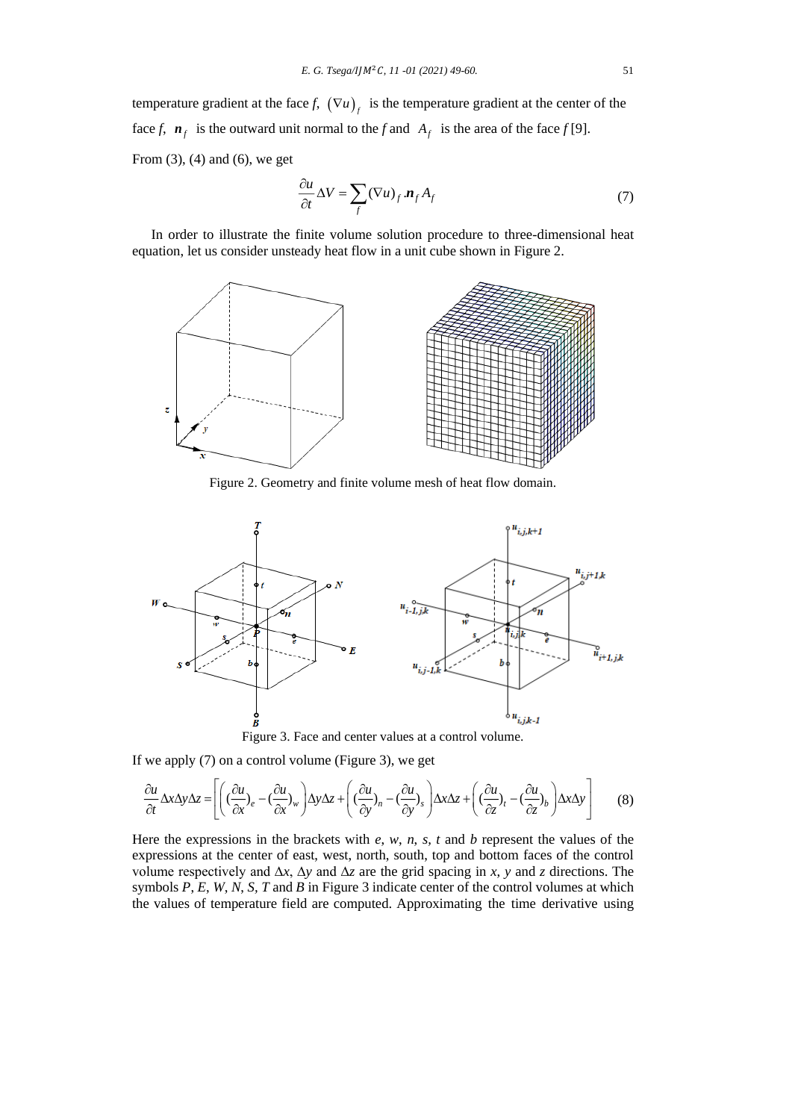temperature gradient at the face *f*,  $(\nabla u)_f$  is the temperature gradient at the center of the face *f*,  $\mathbf{n}_f$  is the outward unit normal to the *f* and  $A_f$  is the area of the face *f* [9]. From  $(3)$ ,  $(4)$  and  $(6)$ , we get

$$
\frac{\partial u}{\partial t} \Delta V = \sum_{f} (\nabla u)_f . \mathbf{n}_f A_f \tag{7}
$$

In order to illustrate the finite volume solution procedure to three-dimensional heat equation, let us consider unsteady heat flow in a unit cube shown in Figure 2.



Figure 2. Geometry and finite volume mesh of heat flow domain.



Figure 3. Face and center values at a control volume.

If we apply (7) on a control volume (Figure 3), we get

$$
\frac{\partial u}{\partial t} \Delta x \Delta y \Delta z = \left[ \left( (\frac{\partial u}{\partial x})_e - (\frac{\partial u}{\partial x})_w \right) \Delta y \Delta z + \left( (\frac{\partial u}{\partial y})_n - (\frac{\partial u}{\partial y})_s \right) \Delta x \Delta z + \left( (\frac{\partial u}{\partial z})_t - (\frac{\partial u}{\partial z})_b \right) \Delta x \Delta y \right] \tag{8}
$$

Here the expressions in the brackets with *e*, *w*, *n*, *s, t* and *b* represent the values of the expressions at the center of east, west, north, south, top and bottom faces of the control volume respectively and ∆*x*, ∆*y* and ∆*z* are the grid spacing in *x*, *y* and *z* directions. The symbols *P*, *E*, *W*, *N*, *S, T* and *B* in Figure 3 indicate center of the control volumes at which the values of temperature field are computed. Approximating the time derivative using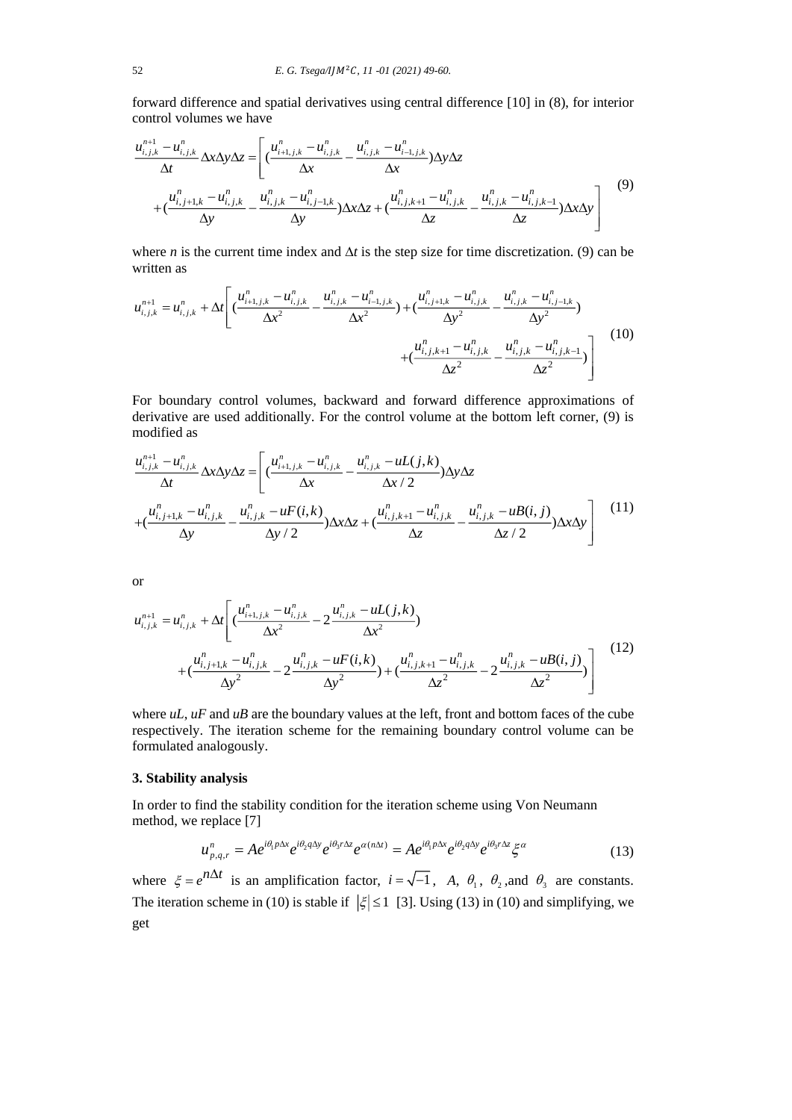forward difference and spatial derivatives using central difference [10] in (8), for interior control volumes we have

$$
\frac{u_{i,j,k}^{n+1} - u_{i,j,k}^{n}}{\Delta t} \Delta x \Delta y \Delta z = \left[ \left( \frac{u_{i+1,j,k}^{n} - u_{i,j,k}^{n}}{\Delta x} - \frac{u_{i,j,k}^{n} - u_{i-1,j,k}^{n}}{\Delta x} \right) \Delta y \Delta z + \left( \frac{u_{i,j+1,k}^{n} - u_{i,j,k}^{n}}{\Delta y} - \frac{u_{i,j,k}^{n} - u_{i,j-1,k}^{n}}{\Delta y} \right) \Delta x \Delta z + \left( \frac{u_{i,j,k+1}^{n} - u_{i,j,k}^{n}}{\Delta z} - \frac{u_{i,j,k}^{n} - u_{i,j,k-1}^{n}}{\Delta z} \right) \Delta x \Delta y \right] \tag{9}
$$

where *n* is the current time index and  $\Delta t$  is the step size for time discretization. (9) can be written as

$$
u_{i,j,k}^{n+1} = u_{i,j,k}^{n} + \Delta t \left[ \left( \frac{u_{i+1,j,k}^{n} - u_{i,j,k}^{n}}{\Delta x^{2}} - \frac{u_{i,j,k}^{n} - u_{i-1,j,k}^{n}}{\Delta x^{2}} \right) + \left( \frac{u_{i,j+1,k}^{n} - u_{i,j,k}^{n}}{\Delta y^{2}} - \frac{u_{i,j,k}^{n} - u_{i,j-1,k}^{n}}{\Delta y^{2}} \right) + \left( \frac{u_{i,j,k+1}^{n} - u_{i,j,k}^{n}}{\Delta z^{2}} - \frac{u_{i,j,k}^{n} - u_{i,j,k-1}^{n}}{\Delta z^{2}} \right) \right]
$$
(10)

For boundary control volumes, backward and forward difference approximations of derivative are used additionally. For the control volume at the bottom left corner, (9) is modified as

modified as  
\n
$$
\frac{u_{i,j,k}^{n+1} - u_{i,j,k}^n}{\Delta t} \Delta x \Delta y \Delta z = \left[ \left( \frac{u_{i+1,j,k}^n - u_{i,j,k}^n}{\Delta x} - \frac{u_{i,j,k}^n - uL(j,k)}{\Delta x/2} \right) \Delta y \Delta z + \left( \frac{u_{i,j+1,k}^n - u_{i,j,k}^n}{\Delta y} - \frac{u_{i,j,k}^n - uF(i,k)}{\Delta y/2} \right) \Delta x \Delta z + \left( \frac{u_{i,j,k+1}^n - u_{i,j,k}^n}{\Delta z} - \frac{u_{i,j,k}^n - uB(i,j)}{\Delta z/2} \right) \Delta x \Delta y \right]
$$
\n(11)

or

$$
u_{i,j,k}^{n+1} = u_{i,j,k}^n + \Delta t \left[ \frac{u_{i+1,j,k}^n - u_{i,j,k}^n}{\Delta x^2} - 2 \frac{u_{i,j,k}^n - uL(j,k)}{\Delta x^2} + \frac{u_{i,j+1,k}^n - u_{i,j,k}^n}{\Delta y^2} - 2 \frac{u_{i,j,k}^n - uF(i,k)}{\Delta y^2} + \left( \frac{u_{i,j,k+1}^n - u_{i,j,k}^n}{\Delta z^2} - 2 \frac{u_{i,j,k}^n - uF(i,k)}{\Delta z^2} \right) \right]
$$
(12)

where *uL*, *uF* and *uB* are the boundary values at the left, front and bottom faces of the cube respectively. The iteration scheme for the remaining boundary control volume can be formulated analogously.

### **3. Stability analysis**

In order to find the stability condition for the iteration scheme using Von Neumann method, we replace [7]

replace [7]  
\n
$$
u_{p,q,r}^{n} = A e^{i\theta_1 p \Delta x} e^{i\theta_2 q \Delta y} e^{i\theta_3 r \Delta z} e^{\alpha (n\Delta t)} = A e^{i\theta_1 p \Delta x} e^{i\theta_2 q \Delta y} e^{i\theta_3 r \Delta z} \xi^{\alpha}
$$
\n(13)

where  $\xi = e^{i\theta \Delta t}$  is an amplification factor,  $i = \sqrt{-1}$ , *A*,  $\theta_1$ ,  $\theta_2$ , and  $\theta_3$  are constants. The iteration scheme in (10) is stable if  $|\xi| \le 1$  [3]. Using (13) in (10) and simplifying, we get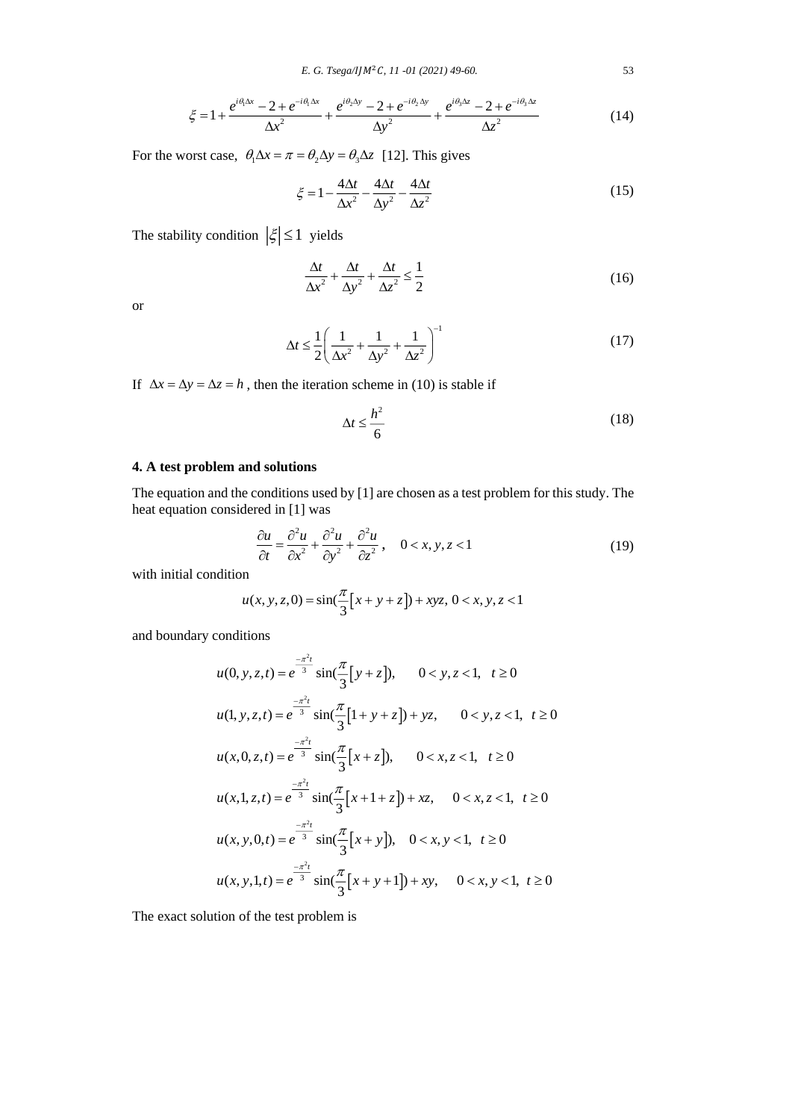$$
\xi = 1 + \frac{e^{i\theta_1 \Delta x} - 2 + e^{-i\theta_1 \Delta x}}{\Delta x^2} + \frac{e^{i\theta_2 \Delta y} - 2 + e^{-i\theta_2 \Delta y}}{\Delta y^2} + \frac{e^{i\theta_3 \Delta z} - 2 + e^{-i\theta_3 \Delta z}}{\Delta z^2}
$$
(14)

For the worst case,  $\theta_1 \Delta x = \pi = \theta_2 \Delta y = \theta_3 \Delta z$  [12]. This gives

$$
\xi = 1 - \frac{4\Delta t}{\Delta x^2} - \frac{4\Delta t}{\Delta y^2} - \frac{4\Delta t}{\Delta z^2}
$$
\n(15)

The stability condition  $|\xi| \leq 1$  yields

$$
\frac{\Delta t}{\Delta x^2} + \frac{\Delta t}{\Delta y^2} + \frac{\Delta t}{\Delta z^2} \le \frac{1}{2}
$$
 (16)

or

$$
\Delta t \le \frac{1}{2} \left( \frac{1}{\Delta x^2} + \frac{1}{\Delta y^2} + \frac{1}{\Delta z^2} \right)^{-1}
$$
 (17)

If  $\Delta x = \Delta y = \Delta z = h$ , then the iteration scheme in (10) is stable if

$$
\Delta t \le \frac{h^2}{6} \tag{18}
$$

### **4. A test problem and solutions**

The equation and the conditions used by [1] are chosen as a test problem for this study. The heat equation considered in [1] was

$$
\frac{\partial u}{\partial t} = \frac{\partial^2 u}{\partial x^2} + \frac{\partial^2 u}{\partial y^2} + \frac{\partial^2 u}{\partial z^2}, \quad 0 < x, y, z < 1 \tag{19}
$$

with initial condition

$$
u(x, y, z, 0) = \sin(\frac{\pi}{3}[x + y + z]) + xyz, \ 0 < x, y, z < 1
$$

and boundary conditions

$$
u(0, y, z, t) = e^{\frac{-\pi^2 t}{3}} \sin(\frac{\pi}{3}[y + z]), \quad 0 < y, z < 1, t \ge 0
$$
  
\n
$$
u(1, y, z, t) = e^{\frac{-\pi^2 t}{3}} \sin(\frac{\pi}{3}[1 + y + z]) + yz, \quad 0 < y, z < 1, t \ge 0
$$
  
\n
$$
u(x, 0, z, t) = e^{\frac{-\pi^2 t}{3}} \sin(\frac{\pi}{3}[x + z]), \quad 0 < x, z < 1, t \ge 0
$$
  
\n
$$
u(x, 1, z, t) = e^{\frac{-\pi^2 t}{3}} \sin(\frac{\pi}{3}[x + 1 + z]) + xz, \quad 0 < x, z < 1, t \ge 0
$$
  
\n
$$
u(x, y, 0, t) = e^{\frac{-\pi^2 t}{3}} \sin(\frac{\pi}{3}[x + y]), \quad 0 < x, y < 1, t \ge 0
$$
  
\n
$$
u(x, y, 1, t) = e^{\frac{-\pi^2 t}{3}} \sin(\frac{\pi}{3}[x + y + 1]) + xy, \quad 0 < x, y < 1, t \ge 0
$$

The exact solution of the test problem is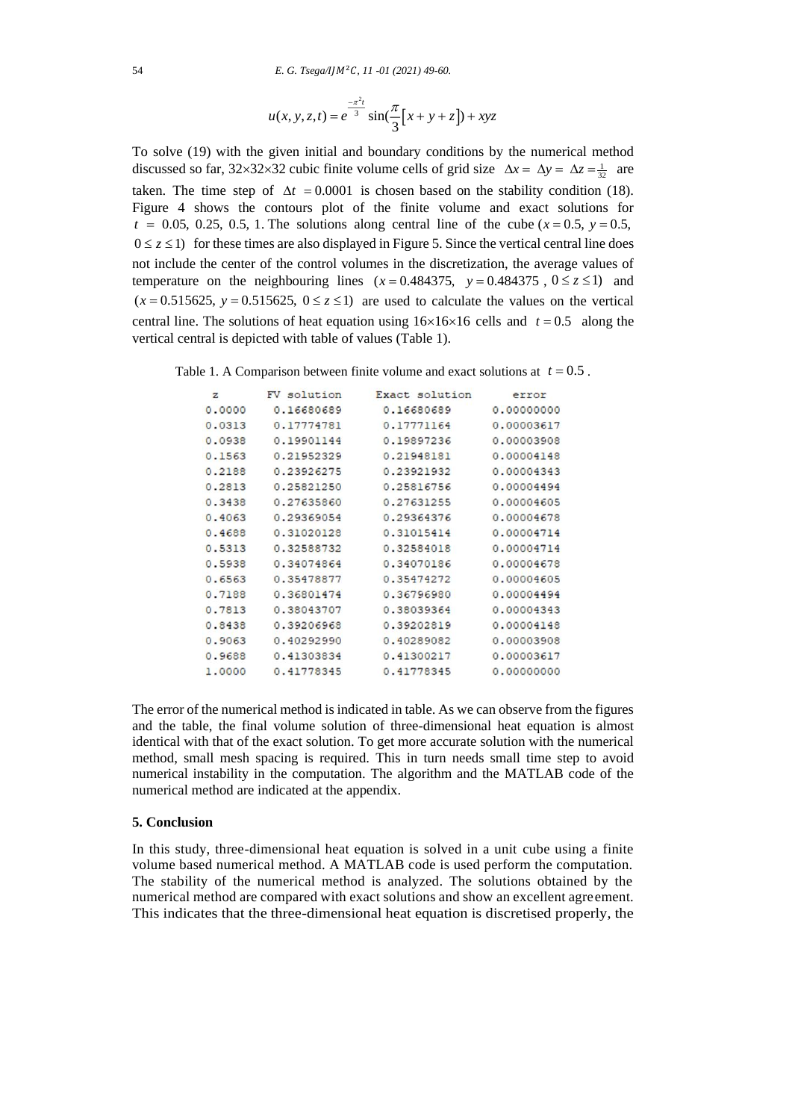$$
u(x, y, z, t) = e^{\frac{-\pi^2 t}{3}} \sin(\frac{\pi}{3}[x + y + z]) + xyz
$$

To solve (19) with the given initial and boundary conditions by the numerical method discussed so far,  $32 \times 32 \times 32$  cubic finite volume cells of grid size  $\Delta x = \Delta y = \Delta z = \frac{1}{32}$  are taken. The time step of  $\Delta t = 0.0001$  is chosen based on the stability condition (18). Figure 4 shows the contours plot of the finite volume and exact solutions for  $t = 0.05, 0.25, 0.5, 1$ . The solutions along central line of the cube ( $x = 0.5, y = 0.5$ ,  $0 \le z \le 1$ ) for these times are also displayed in Figure 5. Since the vertical central line does not include the center of the control volumes in the discretization, the average values of temperature on the neighbouring lines  $(x=0.484375, y=0.484375, 0 \le z \le 1)$  and Emperature on the neighbouring lines  $(x=0.4843/5, y=0.4843/5, 0 \le z \le 1)$  and  $(x=0.515625, y=0.515625, 0 \le z \le 1)$  are used to calculate the values on the vertical central line. The solutions of heat equation using  $16\times16\times16$  cells and  $t = 0.5$  along the vertical central is depicted with table of values (Table 1).

Table 1. A Comparison between finite volume and exact solutions at  $t = 0.5$ .

| z      | FV solution | Exact solution | error      |
|--------|-------------|----------------|------------|
| 0.0000 | 0.16680689  | 0.16680689     | 0.00000000 |
| 0.0313 | 0.17774781  | 0.17771164     | 0.00003617 |
| 0.0938 | 0.19901144  | 0.19897236     | 0.00003908 |
| 0.1563 | 0.21952329  | 0.21948181     | 0.00004148 |
| 0.2188 | 0.23926275  | 0.23921932     | 0.00004343 |
| 0.2813 | 0.25821250  | 0.25816756     | 0.00004494 |
| 0.3438 | 0.27635860  | 0.27631255     | 0.00004605 |
| 0.4063 | 0.29369054  | 0.29364376     | 0.00004678 |
| 0.4688 | 0.31020128  | 0.31015414     | 0.00004714 |
| 0.5313 | 0.32588732  | 0.32584018     | 0.00004714 |
| 0.5938 | 0.34074864  | 0.34070186     | 0.00004678 |
| 0.6563 | 0.35478877  | 0.35474272     | 0.00004605 |
| 0.7188 | 0.36801474  | 0.36796980     | 0.00004494 |
| 0.7813 | 0.38043707  | 0.38039364     | 0.00004343 |
| 0.8438 | 0.39206968  | 0.39202819     | 0.00004148 |
| 0.9063 | 0.40292990  | 0.40289082     | 0.00003908 |
| 0.9688 | 0.41303834  | 0.41300217     | 0.00003617 |
| 1,0000 | 0.41778345  | 0.41778345     | 0.00000000 |

The error of the numerical method is indicated in table. As we can observe from the figures and the table, the final volume solution of three-dimensional heat equation is almost identical with that of the exact solution. To get more accurate solution with the numerical method, small mesh spacing is required. This in turn needs small time step to avoid numerical instability in the computation. The algorithm and the MATLAB code of the numerical method are indicated at the appendix.

## **5. Conclusion**

In this study, three-dimensional heat equation is solved in a unit cube using a finite volume based numerical method. A MATLAB code is used perform the computation. The stability of the numerical method is analyzed. The solutions obtained by the numerical method are compared with exact solutions and show an excellent agreement. This indicates that the three-dimensional heat equation is discretised properly, the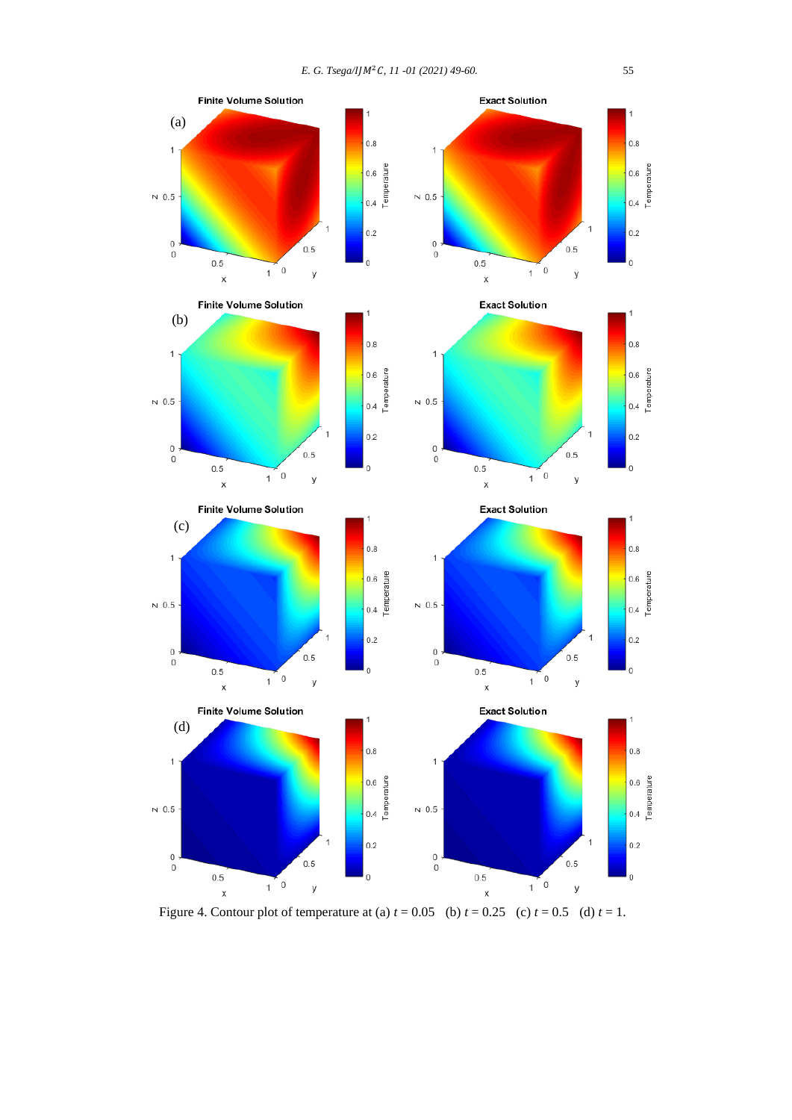

Figure 4. Contour plot of temperature at (a)  $t = 0.05$  (b)  $t = 0.25$  (c)  $t = 0.5$  (d)  $t = 1$ .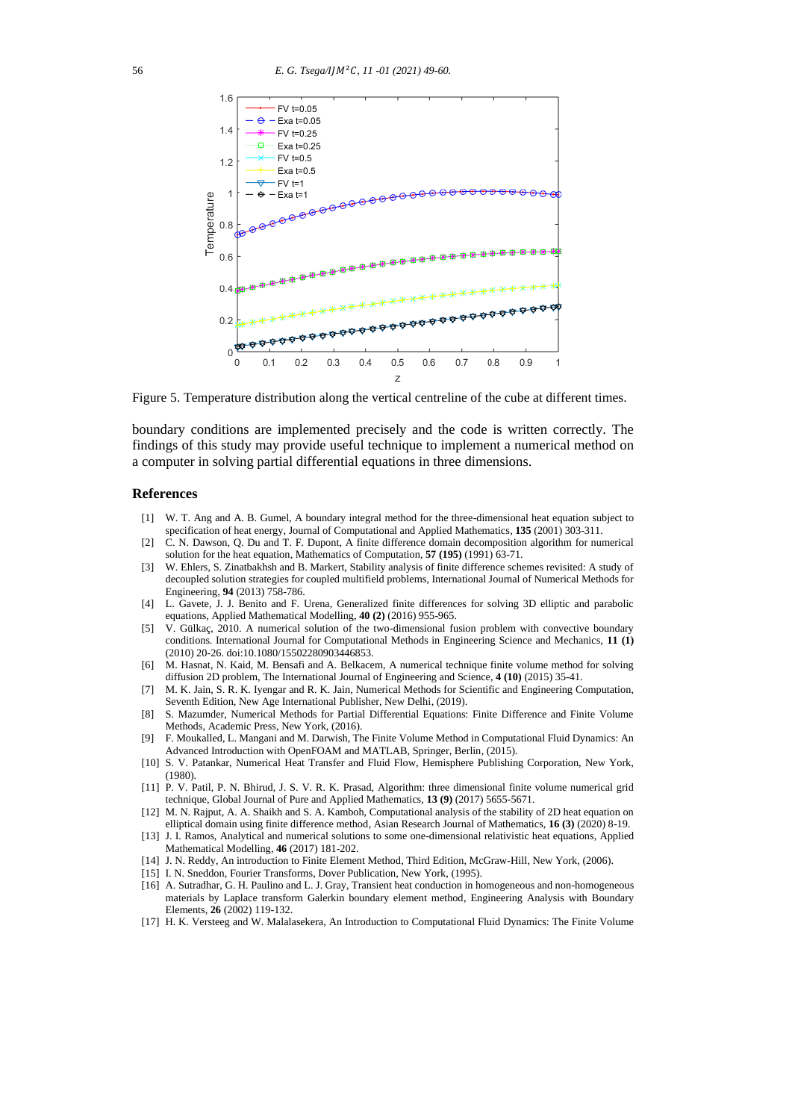

Figure 5. Temperature distribution along the vertical centreline of the cube at different times.

boundary conditions are implemented precisely and the code is written correctly. The findings of this study may provide useful technique to implement a numerical method on a computer in solving partial differential equations in three dimensions.

#### **References**

- [1] W. T. Ang and A. B. Gumel, A boundary integral method for the three-dimensional heat equation subject to specification of heat energy, Journal of Computational and Applied Mathematics, **135** (2001) 303-311.
- [2] C. N. Dawson, Q. Du and T. F. Dupont, A finite difference domain decomposition algorithm for numerical solution for the heat equation, Mathematics of Computation, **57 (195)** (1991) 63-71.
- [3] W. Ehlers, S. Zinatbakhsh and B. Markert, Stability analysis of finite difference schemes revisited: A study of decoupled solution strategies for coupled multifield problems, International Journal of Numerical Methods for Engineering, **94** (2013) 758-786.
- [4] L. Gavete, J. J. Benito and F. Urena, Generalized finite differences for solving 3D elliptic and parabolic equations, Applied Mathematical Modelling, **40 (2)** (2016) 955-965.
- [5] V. Gülkaç, 2010. A numerical solution of the two-dimensional fusion problem with convective boundary conditions. International Journal for Computational Methods in Engineering Science and Mechanics, **11 (1)** (2010) 20-26. doi:10.1080/15502280903446853.
- [6] M. Hasnat, N. Kaid, M. Bensafi and A. Belkacem, A numerical technique finite volume method for solving diffusion 2D problem, The International Journal of Engineering and Science, **4 (10)** (2015) 35-41.
- [7] M. K. Jain, S. R. K. Iyengar and R. K. Jain, Numerical Methods for Scientific and Engineering Computation, Seventh Edition, New Age International Publisher, New Delhi, (2019).
- [8] S. Mazumder, Numerical Methods for Partial Differential Equations: Finite Difference and Finite Volume Methods, Academic Press, New York, (2016).
- [9] F. Moukalled, L. Mangani and M. Darwish, The Finite Volume Method in Computational Fluid Dynamics: An Advanced Introduction with OpenFOAM and MATLAB, Springer, Berlin, (2015).
- [10] S. V. Patankar, Numerical Heat Transfer and Fluid Flow, Hemisphere Publishing Corporation, New York, (1980).
- [11] P. V. Patil, P. N. Bhirud, J. S. V. R. K. Prasad, Algorithm: three dimensional finite volume numerical grid technique, Global Journal of Pure and Applied Mathematics, **13 (9)** (2017) 5655-5671.
- [12] M. N. Rajput, A. A. Shaikh and S. A. Kamboh, Computational analysis of the stability of 2D heat equation on elliptical domain using finite difference method, Asian Research Journal of Mathematics, **16 (3)** (2020) 8-19.
- [13] J. I. Ramos, Analytical and numerical solutions to some one-dimensional relativistic heat equations, Applied Mathematical Modelling, **46** (2017) 181-202.
- [14] J. N. Reddy, An introduction to Finite Element Method, Third Edition, McGraw-Hill, New York, (2006).
- [15] I. N. Sneddon, Fourier Transforms, Dover Publication, New York, (1995).
- [16] A. Sutradhar, G. H. Paulino and L. J. Gray, Transient heat conduction in homogeneous and non-homogeneous materials by Laplace transform Galerkin boundary element method, Engineering Analysis with Boundary Elements, **26** (2002) 119-132.
- [17] H. K. Versteeg and W. Malalasekera, An Introduction to Computational Fluid Dynamics: The Finite Volume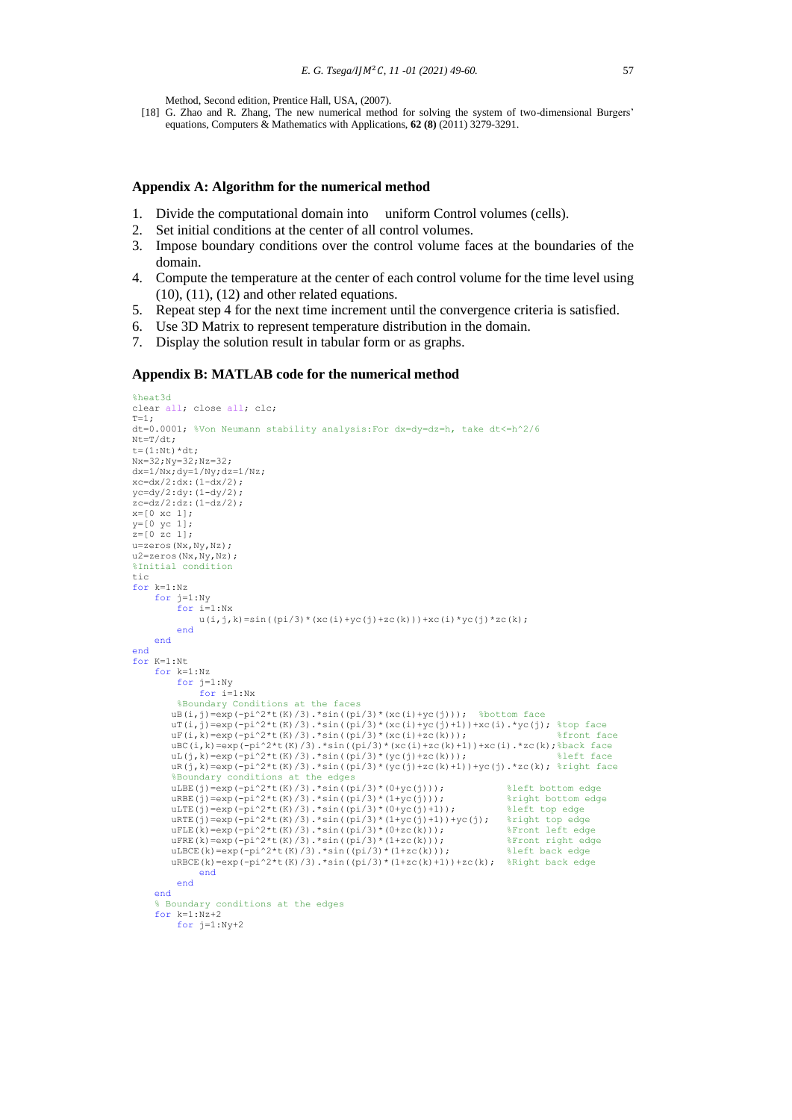Method, Second edition, Prentice Hall, USA, (2007).

[18] G. Zhao and R. Zhang, The new numerical method for solving the system of two-dimensional Burgers' equations, Computers & Mathematics with Applications, **62 (8)** (2011) 3279-3291.

#### **Appendix A: Algorithm for the numerical method**

- 1. Divide the computational domain into uniform Control volumes (cells).
- 2. Set initial conditions at the center of all control volumes.
- 3. Impose boundary conditions over the control volume faces at the boundaries of the domain.
- 4. Compute the temperature at the center of each control volume for the time level using  $(10)$ ,  $(11)$ ,  $(12)$  and other related equations.
- 5. Repeat step 4 for the next time increment until the convergence criteria is satisfied.
- 6. Use 3D Matrix to represent temperature distribution in the domain.
- 7. Display the solution result in tabular form or as graphs.

#### **Appendix B: MATLAB code for the numerical method**

```
%heat3d
clear all; close all; clc;
T=1;
dt=0.0001; %Von Neumann stability analysis:For dx=dy=dz=h, take dt<=h^2/6
Nt=T/dt;
t = (1 \cdot N + 1) * d +Nx=32;Ny=32;Nz=32;
dx=1/Nx; dy=1/Ny; dz=1/Nz;
xc=dx/2:dx: (1-dx/2);
yc=dy/2:dy:(1-dy/2);
zc=dz/2:dz:(1-dz/2);x=[0 \ xc 1];v = [0 \text{ vc } 1]:z=[0 \t zc \t 1];u=zeros(Nx,Ny,Nz);
u2=zeros(Nx,Ny,Nz);
%Initial condition
tic
for k=1:Nz for j=1:Ny
 for i=1:Nx
              u(i,j,k) = sin((pi/3)*(xc(i)+yc(j)+zc(k)))+xc(i)*yc(j)*zc(k); end
     end
end
for K=1:Nt
     for k=1:Nz
          for j=1:Ny
              for i=1:Nx %Boundary Conditions at the faces
        uB(i,j)=exp(-pi^2*t(K)/3).*sin((pi/3)*(xc(i)+yc(j))); %bottom face
        uT(i,j)=exp(-pi^2*t(K)/3).*sin((pi/3)*(xc(i)+yc(j)+1))+xc(i).*yc(j); %top face<br>uF(i,k)=exp(-pi^2*t(K)/3).*sin((pi/3)*(xc(i)+yc(j)+1))+xc(i).*yc(j); %top face
        uF(i,k)=exp(-pi^2*t(K)/3).*sin((pi/3)*(xc(i)+zc(k)));
 uBC(i,k)=exp(-pi^2*t(K)/3).*sin((pi/3)*(xc(i)+zc(k)+1))+xc(i).*zc(k);%back face
 uL(j,k)=exp(-pi^2*t(K)/3).*sin((pi/3)*(yc(j)+zc(k))); %left face
        uR(j,k)=exp(-pi^{2}*t(K)/3).*sin((pi/3)*(yc(j)+zc(k)+1))+yc(j).*zc(k); %right face
          %Boundary conditions at the edges
        uLBE(j)=exp(-pi^2*t(K)/3).*sin((pi/3)*(0+yc(j))); %left bottom edge<br>uRBE(j)=exp(-pi^2*t(K)/3).*sin((pi/3)*(1+yc(j))); %right bottom edge
        uRBE(j)=exp(-pi^2*t(K)/3).*sin((pi/3)*(1+yc(j))); %right bottom edge uLTE(j)=exp(-pi^2*t(K)/3).*sin((pi/3)*(0+yc(j)+1)); %left top edge
        uLTE(j)=exp(-pi^2*t(K)/3).*sin((pi/3)*(0+yc(j)+1));
uRTE(j)=exp(-pi^2*t(K)/3).*sin((pi/3)*(1+yc(j)+1))+yc(j); %right top edge
uFLE(k)=exp(-pi^2*t(K)/3).*sin((pi/3)*(0+zc(k))); %Front left edge
        uFRE(k)=exp(-pi^2*t(K)/3).*sin((pi/3)*(1+zc(k))); %Front right edge<br>uLBCE(k)=exp(-pi^2*t(K)/3).*sin((pi/3)*(1+zc(k))); %Front right edge
         uLBCE(k)=exp(-pi^2*t(K)/3).*sin((pi/3)*(1+zc(k)));
        uRBCE(k)=exp(-pi^2*t(K)/3).*sin((pi/3)*(1+zc(k)+1))+zc(k); %Right back edge
               end
           end
     end
       % Boundary conditions at the edges
     for k=1:Nz+2 for j=1:Ny+2
```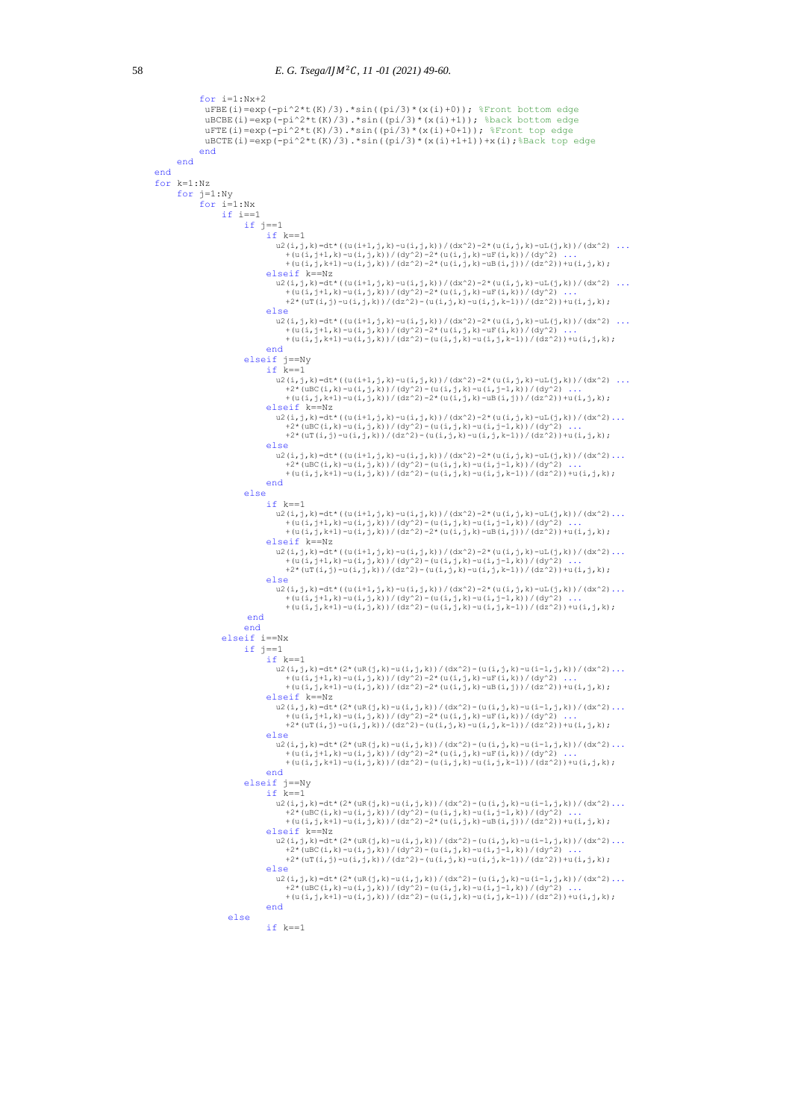```
for i=1:Nx+2uFBE(i)=exp(-pi^2*t(K)/3).*sin((pi/3)*(x(i)+0)); %Front bottom edge
                      uBCBE(i)=exp(-pi^2*t(K)/3).*sin((pi/3)*(x(i)+1)); %back bottom edge
                      uFTE(i)=exp(-pi^2*t(K)/3).*sin((pi/3)*(x(i)+0+1)); %Front top edge
                      uBCTE(i)=exp(-pi^2*t(K)/3).*sin((pi/3)*(x(i)+1+1))+x(i);%Back top edge
                      end
              end
       end
       for k=1:Nz
               for j=1:Ny
                      for i=1:Nx
                            if i == 1 if j==1 
                                           if k == 1u2(i,j,k)=dt*((u(i+1,j,k)-u(i,j,k))/(dx^2)-2*(u(i,j,k)-uL(j,k))/(dx^2) ...
+(u(i,j+1,k)-u(i,j,k))/(dy^2)-2*(u(i,j,k)-uF(i,k))/(dy^2) ...<br>+(u(i,j,k+1)-u(i,j,k))/(dz^2)-2*(u(i,j,k)-uB(i,j))/(dz^2))+u(i,j,k);
                                            elseif k==Nz
                                              \mathtt{u2}\left(\mathtt{i},\mathtt{j},\mathtt{k}\right)=\mathtt{dt}^{\star}\left(\left(\mathtt{u}\left(\mathtt{i+1},\mathtt{j},\mathtt{k}\right)-\mathtt{u}\left(\mathtt{i},\mathtt{j},\mathtt{k}\right)\right)/\left(\mathtt{dx}^{\wedge}2\right)-2^{\star}\left(\mathtt{u}\left(\mathtt{i},\mathtt{j},\mathtt{k}\right)-\mathtt{u}\mathtt{L}\left(\mathtt{j},\mathtt{k}\right)\right)/\left(\mathtt{dx}^{\wedge}2\right)\ \ldots+(u(i,j+1,k)-u(i,j,k))/(dy^2)-2*(u(i,j,k)-uF(i,k))/(dy^2) ...<br>+2*(uT(i,j)-u(i,j,k))/(dz^2)-(u(i,j,k)-u(i,j,k-1))/(dz^2))+u(i,j,k);
                                            else
u2(i,j,k)=dt*((u(i+1,j,k)-u(i,j,k))/(dx^2)-2*(u(i,j,k)-uL(j,k))/(dx^2) ...<br>+(u(i,j+1,k)-u(i,j,k))/(dy^2)-2*(u(i,j,k)-u[i,k))/(dy^2) ...<br>+(u(i,j,k+1)-u(i,j,k))/(dz^2)-(u(i,j,k)-u(i,j,k-1))/(dz^2))+u(i,j,k);
end and the contract of the contract of the contract of the contract of the contract of the contract of the con
                                    elseif j==Ny 
                                          if k==1u2(i,j,k)=dt*((u(i+1,j,k)-u(i,j,k))/(dx^2)-2*(u(i,j,k)-uL(j,k))/(dx^2) ...<br>+2*(uBC(i,k)-u(i,j,k))/(dy^2)-(u(i,j,k)-u(i,j-1,k))/(dy^2) ...
                                                 +(u(i,j,k+1)-u(i,j,k))/(dz^2)-2*(u(i,j,k)-uB(i,j))/(dz^2))+u(i,j,k);
                                            elseif k==Nz 
                                              u2(i,j,k)=dt*((u(i+1,j,k)-u(i,j,k))/(dx^2)-2*(u(i,j,k)-uL(j,k))/(dx^2)...
+2*(uBC(i,k)-u(i,j,k))/(dy^2)-(u(i,j,k)-u(i,j-1,k))/(dy^2) ...<br>+2*(uT(i,j)-u(i,j,k))/(dz^2)-(u(i,j,k)-u(i,j,k-1))/(dz^2))+u(i,j,k);
                                            else
                                              u2(i,j,k)=dt*((u(i+1,j,k)-u(i,j,k))/(dx^2)-2*(u(i,j,k)-uL(j,k))/(dx^2)...
+2*(uBC(i,k)-u(i,j,k))/(dy^2)-(u(i,j,k)-u(i,j-1,k))/(dy^2) ...<br>+(u(i,j,k+1)-u(i,j,k))/(dz^2)-(u(i,j,k)-u(i,j,k-1))/(dz^2))+u(i,j,k);
end and the contract of the contract of the contract of the contract of the contract of the contract of the con
                                    else
                                           if k==1u2(i,j,k)=dt*((u(i+1,j,k)-u(i,j,k))/(dx^2)-2*(u(i,j,k)-uL(j,k))/(dx^2)...<br>+(u(i,j+1,k)-u(i,j,k)/(dy^2)-(u(i,j,k)-u(i,j-1,k))/(dz^2)...<br>+(u(i,j,k+1)-u(i,j,k))/(dz^2)-2*(u(i,j,k)-uB(i,j)))/(dz^2))+u(i,j,k);
                                            elseif k==Nz 
u2(i,j,k)=dt*((u(i+1,j,k)-u(i,j,k))/(dx^2)-2*(u(i,j,k)-uL(j,k))/(dx^2)...<br>+(u(i,j+1,k)-u(i,j,k))/(dq^2)-(u(i,j,k)-u(i,j-1,k))/(da^2))+u(i,j-1,k)<br>+2*(uT(i,j)-u(i,j,k))/(dz^2)-(u(i,j,k)-u(i,j,k-1)))/(dz^2))+u(i,j,k);
                                            else
                                              u2(i,j,k)=dt*((u(i+1,j,k)-u(i,j,k))/(dx^2)-2*(u(i,j,k)-uL(j,k))/(dx^2)...
+(u(i,j+1,k)-u(i,j,k))/(dy^2)-(u(i,j,k)-u(i,j-1,k))/(dy^2) ...<br>+(u(i,j,k+1)-u(i,j,k))/(dz^2)-(u(i,j,k)-u(i,j,k-1))/(dz^2))+u(i,j,k);
                                     end
                                   end
                             elseif i==Nx
                                    if j==1 
                                           if k == 1u2(i,j,k)=dt*(2*(uR(j,k)-u(i,j,k))/(dx^2)-(u(i,j,k)-u(i-1,j,k))/(dx^2)...
+(u(i,j+1,k)-u(i,j,k))/(dy^2)-2*(u(i,j,k)-uF(i,k))/(dy^2) ...<br>+(u(i,j,k+1)-u(i,j,k))/(dz^2)-2*(u(i,j,k)-uB(i,j))/(dz^2))+u(i,j,k);
elseif k==Nz<br>u2(i,j,k)=dt*(2*(uR(j,k)-u(i,j,k))/(dx^2)-(u(i,j,k)-u(i-1,j,k))/(dx^2)...
+(u(i,j+1,k)-u(i,j,k))/(dy^2)-2*(u(i,j,k)-uF(i,k))/(dy^2) ...<br>+2*(uT(i,j)-u(i,j,k))/(dz^2)-(u(i,j,k)-u(i,j,k-1))/(dz^2))+u(i,j,k);
                                            else
u2(i,j,k)=dt*(2*(uR(j,k)-u(i,j,k))/(dx^2)-(u(i,j,k)-u(i-1,j,k))/(dx^2)...<br>+(u(i,j+1,k)-u(i,j,k))/(dy^2)-2*(u(i,j,k),uF(i,k))/(dy^2))...<br>+(u(i,j,k+1)-u(i,j,k))/(dz^2)-(u(i,j,k)-u(i,j,k-1))/(dz^2))+u(i,j,k);
                                            end
                                    elseif j==Ny 
                                           if k == 1u2(i,j,k)=dt*(2*(uR(j,k)-u(i,j,k))/(dx^2)-(u(i,j,k)-u(i-1,j,k))/(dx^2)...<br>+2* (uBC(i,k)-u(i,j,k))/(dy^2)-(u(i,j,k)-u(i,j,k)-u(i-1,j,k))/(dx^2)...<br>+(u(i,j,k+1)-u(i,j,k))/(dz^2)-2*(u(i,j,k)-uB(i,j)))/(dz^2))+u(i,j,k);
                                            elseif k==Nz 
u2(i,j,k)=dt*(2*(uR(j,k)-u(i,j,k))/(dx^2)-(u(i,j,k)-u(i-1,j,k))/(dx^2)...<br>+2*(uBC(i,k)-u(i,j,k))/(dy^2)-(u(i,j,k)-u(i,j,k-1))/(dz^2))+u(i,j,k);<br>+2*(uT(i,j)-u(i,j,k))/(dz^2)-(u(i,j,k)-u(i,j,k-1))/(dz^2))+u(i,j,k);
                                            else
u2(i,j,k)=dt*(2*(uR(j,k)-u(i,j,k))/(dx^2)-(u(i,j,k)-u(i-1,j,k))/(dx^2)...<br>+2*(uBC(i,k)-u(i,j,k))/(dy^2)-(u(i,j,k)-u(i,j-1,k))/(dy^2)<br>+(u(i,j,k+1)-u(i,j,k))/(dz^2)-(u(i,j,k)-u(i,j,k-1))/(dz^2))+u(i,j,k);
end and the contract of the contract of the contract of the contract of the contract of the contract of the con
                               else
                                           if k == 1
```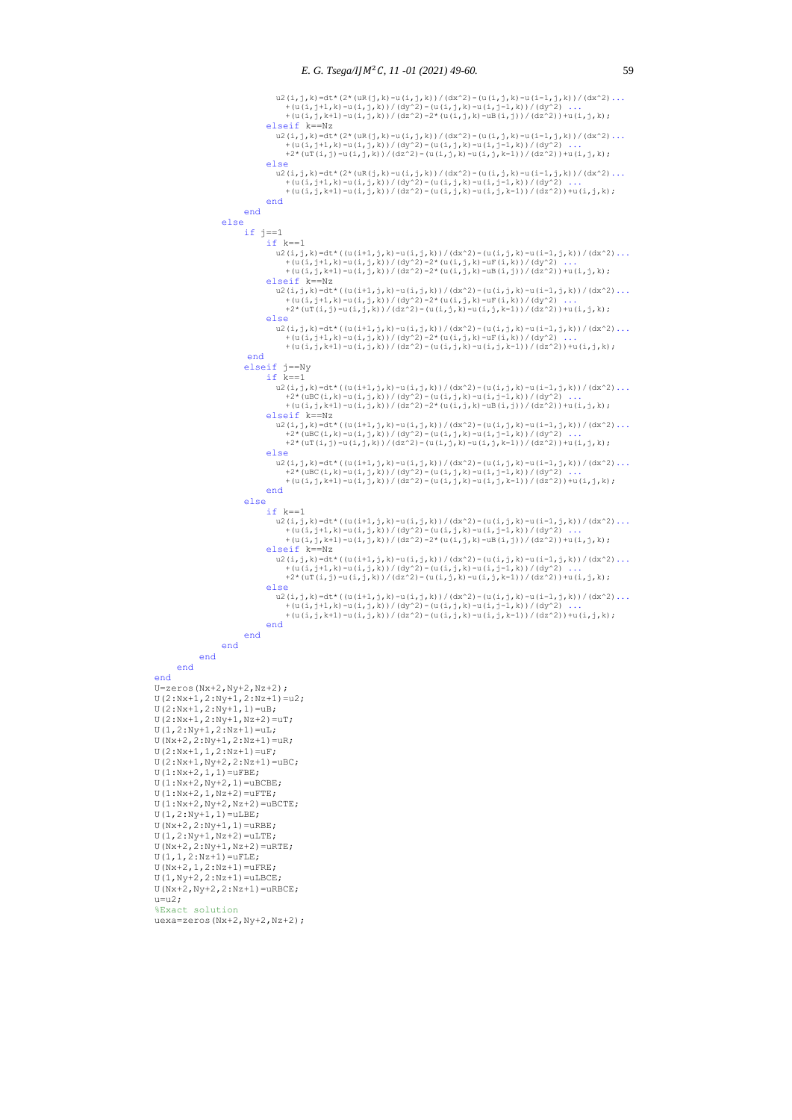```
u2(i,j,k)=dt*(2*(uR(j,k)-u(i,j,k))/(dx^2)-(u(i,j,k)-u(i-1,j,k))/(dx^2)...<br>+(u(i,j+1,k)-u(i,j,k))/(dy^2)-(u(i,j,k)-u(i,j-l),k)-u(i-1,j,k))/(dx^2)...<br>+(u(i,j,k+1)-u(i,j,k))/(dz^2)-2*(u(i,j,k)-uB(i,j)))/(dz^2))+u(i,j,k);
                                         elseif k==Nz
u2(i,j,k)=dt*(2*(uR(j,k)-u(i,j,k))/(dx^2)-(u(i,j,k)-u(i-1,j,k))/(dx^2)...<br>+(u(i,j+1,k)-u(i,j,k))/(dy^2)-(u(i,j,k)-u(i,j-l,k))/(dz^2)-(u(i,j-1,k);)<br>+2*(uT(i,j)-u(i,j,k))/(dz^2)-(u(i,j,k)-u(i,j,k-1))/(dz^2))+u(i,j,k);
                                         else
u2(i,j,k)=dt*(2*(uR(j,k)-u(i,j,k))/(dx^2)-(u(i,j,k)-u(i-1,j,k))/(dx^2)...<br>+(u(i,j+1,k)-u(i,j,k))/(dy^2)-(u(i,j,k)-u(i,j-l,k))/(dy^2)<br>+(u(i,j,k+1)-u(i,j,k))/(dz^2)-(u(i,j,k)-u(i,j,k-1))/(dz^2))+u(i,j,k);
                                        end
                                 end
                          else
                                  if j==1
                                       if k == 1u2(i,j,k)=dt*((u(i+1,j,k)-u(i,j,k))/(dx^2)-(u(i,j,k)-u(i-1,j,k))/(dx^2)...
+(u(i,j+1,k)-u(i,j,k))/(dy^2)-2*(u(i,j,k)-uF(i,k))/(dy^2) ...<br>+(u(i,j,k+1)-u(i,j,k))/(dz^2)-2*(u(i,j,k)-uB(i,j))/(dz^2))+u(i,j,k);
                                        elseif k==Nz
                                          u2(i,j,k)=dt*((u(i+1,j,k)-u(i,j,k))/(dx^2)-(u(i,j,k)-u(i-1,j,k))/(dx^2)...
                                             +(u(i,i+1,k)-u(i,i,k))/(dy^2)-2*(u(i,j,k)-uF(i,k))/(dy^2)
                                             +2*(uT(i,j)-u(i,j,k))/(dz^2)-(u(i,j,k)-u(i,j,k)-u(i,j,k-1))/(dz^2))+(u(i,j,k); else
                                          u2(i,j,k)=dt*((u(i+1,j,k)-u(i,j,k))/(dx^2)-(u(i,j,k)-u(i-1,j,k))/(dx^2)...
+(u(i,j+1,k)-u(i,j,k))/(dy^2)-2*(u(i,j,k)-uF(i,k))/(dy^2) ...<br>+(u(i,j,k+1)-u(i,j,k))/(dz^2)-(u(i,j,k)-u(i,j,k-1))/(dz^2))+u(i,j,k);
                                  end
 elseif j==Ny
 if k==1
u2(i,j,k)=dt*((u(i+1,j,k)-u(i,j,k))/(dx^2)-(u(i,j,k)-u(i-1,j,k))/(dx^2)...<br>+2*(uBC(i,k)-u(i,j,k))/(dy^2)-(u(i,j,k)-u(i,j-l,k))/(dy^2))...<br>+(u(i,j,k+1)-u(i,j,k))/(dz^2)-2*(u(i,j,k)-uB(i,j))/(dz^2))+u(i,j,k);
                                        elseif k==Nz
                                          \mathtt{u2}\left(\mathtt{i},\mathtt{j},\mathtt{k}\right)=\mathtt{dt}^{\star}\left(\left(\mathtt{u}\left(\mathtt{i+1},\mathtt{j},\mathtt{k}\right)-\mathtt{u}\left(\mathtt{i},\mathtt{j},\mathtt{k}\right)\right)/\left(\mathtt{dx}^{\wedge}2\right)-\left(\mathtt{u}\left(\mathtt{i},\mathtt{j},\mathtt{k}\right)-\mathtt{u}\left(\mathtt{i-1},\mathtt{j},\mathtt{k}\right)\right)/\left(\mathtt{dx}^{\wedge}2\right)\ldots+2*(uBC(i,k)-u(i,j,k))/(dy^2)-(u(i,j,k)-u(i,j-1,k))/(dy^2) ...<br>+2*(uT(i,j)-u(i,j,k))/(dz^2)-(u(i,j,k)-u(i,j,k-1))/(dz^2))+u(i,j,k);
                                        else
                                          u2(i,j,k)=dt*((u(i+1,j,k)-u(i,j,k))/(dx^2)-(u(i,j,k)-u(i-1,j,k))/(dx^2)...
+2*(uBC(i,k)-u(i,j,k))/(dy^2)-(u(i,j,k)-u(i,j-1,k))/(dy^2) ...<br>+(u(i,j,k+1)-u(i,j,k))/(dz^2)-(u(i,j,k)-u(i,j,k-1))/(dz^2))+u(i,j,k);
                                        end
                                 else
                                       if k == 1{\tt u2(i,j,k)}=\tt dt*( (u(i+1,j,k)-u(i,j,k)) / (dx^2)-(u(i,j,k)-u(i-1,j,k)) / (dx^2)\dots+(u(i,j+1,k)-u(i,j,k))/(dy^2)-(u(i,j,k)-u(i,j-1,k))/(dy^2) ...<br>+(u(i,j,k+1)-u(i,j,k))/(dz^2)-2*(u(i,j,k)-uB(i,j))/(dz^2))+u(i,j,k);
                                        elseif k==Nz
u2(i,j,k)=dt*((u(i+1,j,k)-u(i,j,k))/(dx^2)-(u(i,j,k)-u(i-1,j,k))/(dx^2)...<br>+(u(i,j+1,k)-u(i,j,k))/(dy^2)-(u(i,j,k)-u(i,j-1,k))/(dz^2)) ...<br>+2*(uT(i,j)-u(i,j,k))/(dz^2)-(u(i,j,k)-u(i,j,k-1))/(dz^2))+u(i,j,k);
                                         else
                                          u2(i,j,k)=dt*((u(i+1,j,k)-u(i,j,k))/(dx^2)-(u(i,j,k)-u(i-1,j,k))/(dx^2)...
+(u(i,j+1,k)-u(i,j,k))/(dy^2)-(u(i,j,k)-u(i,j-1,k))/(dy^2) ...<br>+(u(i,j,k+1)-u(i,j,k))/(dz^2)-(u(i,j,k)-u(i,j,k-1))/(dz^2))+u(i,j,k);
                                        end
                                 end
                          end
                    end
             end
      end
     U = zeros(Nx+2,Ny+2,Nz+2);U(2:Nx+1,2:Ny+1,2:Nz+1)=u2;U(2:Nx+1,2:Ny+1,1)=uB;U(2:Nx+1,2:Ny+1,Nz+2)=uT; U(1,2:Ny+1,2:Nz+1)=uL;
 U(Nx+2,2:Ny+1,2:Nz+1)=uR;
 U(2:Nx+1,1,2:Nz+1)=uF;
     U(2:Nx+1,Ny+2,2:Nz+1)=uBC;U(1:Nx+2,1,1)=uFBE;U(1:Nx+2,Ny+2,1)=uBCBE;U(1:Nx+2,1,Nz+2)=uFTE;U(1:Nx+2, Ny+2, Nz+2) = uBCTE;U(1, 2:Nv+1, 1) = ULRE;
     U(Nx+2, 2:Ny+1, 1) = URBE;U(1, 2:Ny+1, Nz+2) = uLTE;U(Nx+2, 2:Ny+1, Nz+2)=uRTE;
     U(1,1,2:Nz+1)=uFLE;
     U(Nx+2,1,2:Nz+1)=uFRE;
      U(1, Ny+2, 2:Nz+1) = uLBCE;U(Nx+2, Ny+2, 2:Nz+1) = URBCE;u=12:
      %Exact solution
```